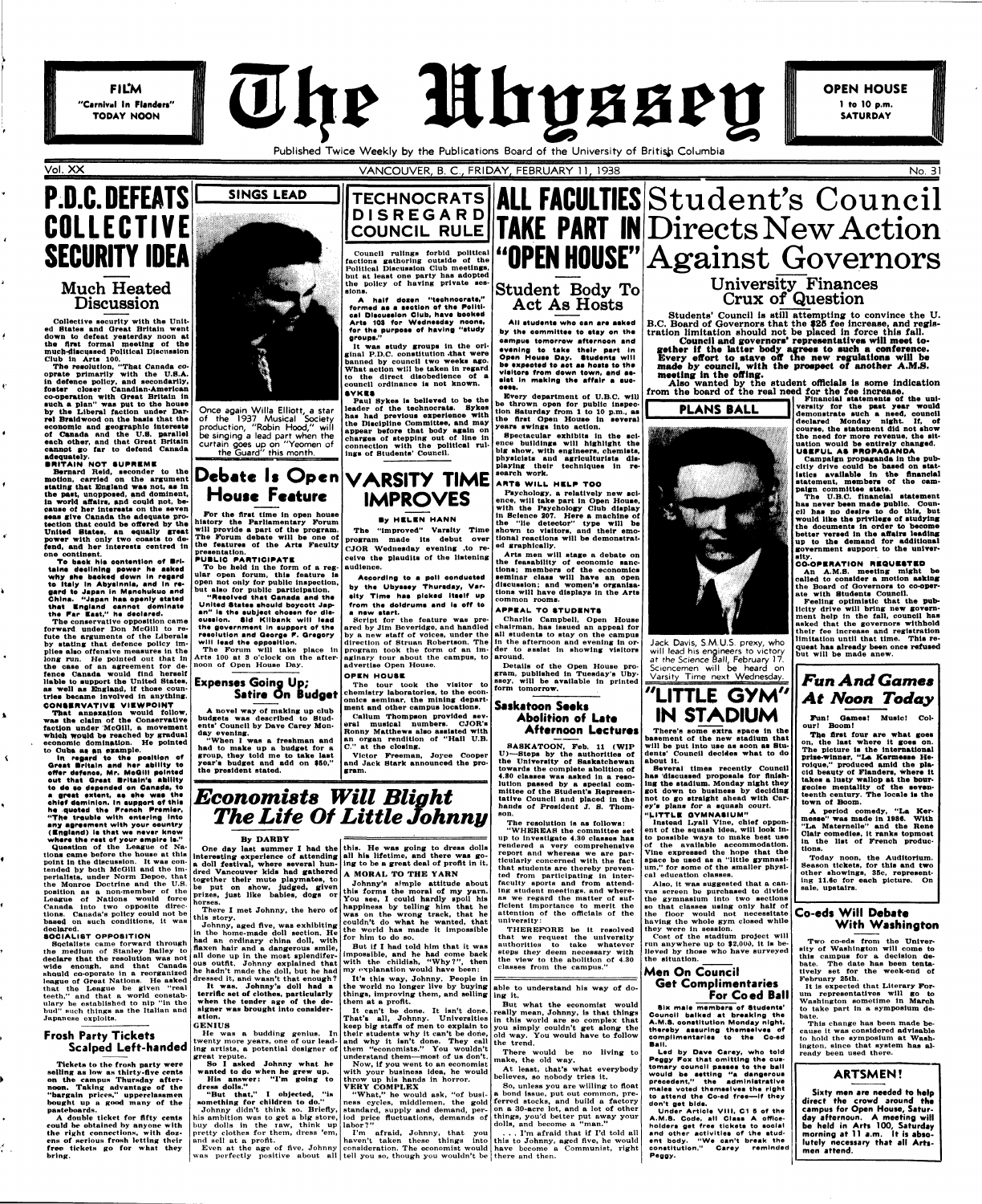**FILM** "Carnival In Flanders" TODAY NOON



**OPEN HOUSE** 1 to 10 p.m. **SATURDAY** 

Published Twice Weekly by the Publications Board of the University of British Columbia

### **VANCOUVER, B. C., FRIDAY, FEBRUARY 11, 1938** No. 31 No. 31

# **P.D.C. DEFEATS COLLECTIVE SECURITY IDEA**  Much Heated Discussion

**Collective security with the United States and Great Britain went down to defeat yesterday noon at tbe first formal mooting of the mucb-dlsci)ssed Political Discussion Club In Arta 100.** 

**Tbe reaolution, "That Canada cooprate primarily with the U.S.A. In defence polloy, and secondarily, footer cloaer Canadian-American co-operation with Great Britain in auch a plan" was put to the house by the Liberal faction under Darrel Braldwood on the baala that the economic and geographic intereate of Canada and the U.S. parallel each other, and that Great Britain cannot go far to defend Canada adequately.** 

**BRITAIN NOT SUPREME** 

**That annexation would follow, waa tbe claim of the Conaervative**  faction under McGill, a movement **whioh Would be reached by gradual**  economic domination. He pointed<br>to Cuba as an example.

**In regard to tha poaltlon of Oreat Britain and her ability to offer defence, Mr. McOlll pointed out that Qraat Britain's ability to do so depended on Canada, to**  a great extent, as she was the **chief dominion. In support of thla he quoted th\* Frenoh Premier, "The trouble with entering into** 

**Bernard Reid, seconder to tbe motion, carried on the argument atatlng tbat JDngland waa not, aa In tbe paat, unopposed, and dominent, In world affairs, apd could not, becauae of her Interests on the seven aaaa give Canada the adequate protection tbat could be offered by the United States, an equally great power with only two coasts to defend, and her Interesta centred in one continent.** 

**To baok hla oentontlon of Brltalna declining power he aakad why she backed dewn In regard to Italy In Abyalnnla, and In re\* gard to Japan In Manohukuo and China. "Japan haa openly atatad that England cannot dominate tha Far Eaat," he daolared.** 

**Tbe conservative opposition came forward under Don McGiil to refute the arguments of the Liberals**  by stating that defence policy im**plies also offensive measures ln the long run. He pointed out that ln the case of an agreement for defence Canada would tlnd herself liable to aupport tbe United Statea, as well as England, if those countries became Involved in anything. CONSERVATIVE VIEWPOINT** 

**any agreement with your country (England) la that we never know where the raat of your empire le."** 

Council rulings forbid political **factions gathering outside of the Political Discussion Club meetings, but at least one party has adopted the policy ot having private sessions.** 

**Queation of the League of Nations came before the house at this point in the discussion. It was contended by both McGiil and the imperialists, under Norm Depoe, that the Monroe Doctrine and the U.S. position as a non-member of the League of Nations would force Canada into two opposite directions. Canada's policy could not be based on such conditions, it was declared.** 

#### **SOCIALI8T OPPOSITION**

**Socialists came forward through the medium of Stanley Bailey to declare that the resolution was not wide enough, and that Canada should co-operate in a reorganized league of Great Nations. He asked that the League be given "real teeth," and that a world constabulary be established to nip "in the bud" such things as the Italian and Japanese exploits.** 



#### **Frosh Party Tickets Scalped Left-handed**

**Tickets to the frosh party were selling as low as thirty-flve cents on the campus Thursday afternoon. Taking advantage of the "bargain prices," upperclassmen bought up a good many of the pasteboards.** 

**A double ticket for fifty cents could be obtained by anyone with the right connections, with dozens of serious frosh letting their free tickets go for what they bring.** 

 $\frac{4}{1}$ 

**twenty more years, one of our lead-and why it isn't done. They call**  ing artists, a potential designer of them "economists." You wouldn't

**Once again Willa Elliott, a star of the 1937 Musical Society production, "Robin Hood," will be singing a lead part when the curtain goes up on "Yeomen of the Guard" this month.** 

## **Debate It Open VARSITY TIME House Feature**

**For the flrst time In open houae history the Parliamentary Porum will provide a part of the program. The Forum debate will be one ot the featurea of the Arta Faculty presentation.** 

One day last summer I had the this. He was going to dress dolls **intereating experience of attending all his lifetime, and there was going to be a great deal of profit in it. A MORAL TO THE YARN** 

#### **PUBLIC PARTICIPATE**

**To be held In the form of a regular open forum, thia feature la open not only for public inspection, but also for public participation.** 

**"Resolved that Canada and tha United Statea ahould boycott Japan" la the aubject ohoaen for dlsousslon. Sid Kllbank will lead the government In aupport of the reaolution and Qeorgo P. Gregory will lead the oppeaition.** 

**The Forum will take place in Arts 100 at 8 o'clock on the afternoon of Open House Day.** 

#### **Expenses Going Up; Satire On Budget**

**A novel way of making up club budgets was described to Students' Council by Dave Carey Monday evening.** 

**"When I was a freshman and had to make up a budget for a group, they told me to take last year's budget and add on 950," tbe prealdent stated.** 

**Every department of U.B.C. will be thrown open for public Inspection Saturday from 1 to 10 p.m., aa the flrat Opeu Houae ln aeveral Spectacular exhibits in the aclence buildings will highlight tbe big show, with engineers, chemlata, physicists and agriculturists displaying their techniques In re-search work. Psychology, a relatively new aclence, will take part in Open Houae, with the Psychology Club display in Science 207. Here a machine of the "lie detector" type will be shown to visitors, and their emotional reactions will be demonstrat-Arts men will stage a debate on the feaaabllity of economic sanctions; membera of the economics seminar clasa will have an open I PLANS BALL** 

# **TECHNOCRATS DISREGAR D**

**A half doaen "technoorata," formed aa a aactlon of tho Political Olacuaalon Club, have booked Arta 103 for Wedneaday noona, for tha purpoae of having "atudy groupa."** 

**It was study groupa In the original P.D.C. constitution .that were banned by council two weeks ago. What action will be taken ln regard to the direct disobedience of a council ordinance is not known. SVKBS** 

**Paul Sykes Is believed to be the leader of the technocrats. Sykea haa had prevloua experience with the Discipline Committee, and may appear before that body again on charges of stepping out of line in connection with the political rulings of Students' Council.** 

> **The resolution is as "WHEREAS the committee set up to Investigate 4.30 classes haa rendered a very comprehensive report and whereas we are particularly concerned with the fact that students are thereby prevented from participating in interfaculty sports and from attending student meetings, and whereas we regard the matter of sufficient Importance to merit the attention of the officials of the university:**

# **IMPROVES**

#### **By HELEN HANN**

**The "improved" Varaity Time program made its debut over CJOR Wedneaday evening ,to receive the plaudits of the listening audience.** 

**According to a poll conducted by tha Ubyaaey Thursday, Varaity Time haa picked Itself up from the doldruma and la off to a new atart.** 

**Script for the feature was preared by Jim Beveridge, and handled by a new staff of voices, under the direction of Struan Robertson. The program took the form of an imaginary tour about the campus, to advertise Open House.** 

was perfectly positive about all tell you so, though you wouldn't be there and then. **haven't taken these things into consideration. The economist would this to Johnny, aged five, he would have become a Communist, right** 

## **COUNCIL RULE TAKE PART IN Directs New Action ALL FACULTIES Student's Council "OPEN HOUSE" Against governors**  Student Body To Act As Hosts University Finances Crux of Question

#### **OPEN HOUSE**

**The tour took the visitor to chemistry laboratories, to the economics seminar, the mining department and other campus locations. Callum Thompson provided several musical numbers. CJOR's Ronny Matthews alao assisted with** 

**an organ rendition ot "Hail U.B. C." at the closing.** 

**Victor Freeman, Joyce Cooper and Jack Stark announced the program.** 

*Economists Will Blight* 

*The Life Of Little Johnny* 

**By DARBY** 

**a doll festival, where aeveral hundred Vancouver kids had gathered together their mute playmates, to be put on show, judged, given prizes, just like babies, dogs or horses.** 

**this story.** 

**Johnny, aged five, was exhibiting in the home-made doll section. He** are world has made it impossible in the home-made doll section. He can be done to de **had an ordinary china doll, with for him to do so. flaxen hair and a dangerous smile, all done up in the most splendiferous outfit. Johnny explained that with the childish, "Why?", then he hadn't made the doll, but he had dressed it, and wasn't that enough ?** 

**It was. Johnny's doll had a terrific set of clothes, particularly when the tender age of the designer was brought into consideration.** 

#### **GENIUS**

Under Article VIII, C1 5 of the **A.M.S. Code, all Class A officeholders get free tlokete to eooial and other aotlvities of ihe etudent body. "We oan't break the constitution," Carey reminded Peggy.** 

**He was a budding genius. In their students why it can't be done, great repute.** 

**EXECUTE:** The **EXAMPLE STATE** STATE STATE STATE STATE STATE STATE STATE STATE STATE STATE STATE STATE STATE STATE STATE STATE STATE STATE STATE STATE STATE STATE STATE STATE STATE STATE STATE STATE STATE STATE STATE STATE **verelty tor tbe paat year would demonatrate auch a need, council declared Monday night. If, of eourae, the atatement did not ahow the need for more revenue, the situation would be entirely changed.** 

**So I asked Johnny what he wanted to do when he grew up. His answer: "I'm going to dress dolls."** 

**There I met Johnny, the hero of happiness by telling him that he Johnny's simple attitude about this forms the moral of my yarn. You see, I could hardly spoil his was on the wrong track, that he couldn't do what he wanted, that** 

**"But that." I objected, "is something for children to do."**  Johnny didn't think so. Briefly, standard, supply and demand, per**his ambition was to get a big store, iod price fluctuations, demands of buy dolls in the taw, think up pretty clothes for them, dress 'em, and sell at a profit.** 

**Even at the age of five, Johnny** 

Fun! Games! Music! Col**our! Boom I** 

**But if I had told him that it was impossible, and he had come back my explanation would have been:** 

**them at a profit.** 

**understand them—most of us don't. Now, if you went to an economist** 

**with your business idea, he would throw up his hands In horror. VERY COMPLEX** 

**"What," he would ask, "of business cycles, middlemen, the gold** 

**labor?"** 

**I'm afraid, Johnny, that you** 

**All atudante who can are aakad by the oommittee to atay on the campua tomorrow afternoon and evening to take thalr part In Open Houaa Day. Studenta will be expeoted to aet aa hoata to the vlaltoro from down town, and ae\* elat In making the affair a auc-**

**eea\*.** 

**yeara swings into action.** 

**ARTS WILL HELP TOO** 

**It's this way, Johnny. People in the world no longer live by buying able to understand his way of dothings, improving them, and selling ing it.** 

**ed graphically.** 

**It can't be done. It isn't done. That's all, Johnny. Universities keep big staffs of men to explain to But what the economist would really mean, Johnny, is that things In this world are so complex that you simply couldn't get along the old way. You would have to follow** 

**discussion; and women's organisations will have displays in the Arts common rooms. APPEAL TO STUDENTS Charlie Campbell, Open House chairman, has issued an appeal for all studenta to stay on the campus In the afternoon and evening in order to assist in showing visitors** 

**around. Details of the Open House program, published in Tuesday's Ubyssey, will be available in printed form tomorrow.** 

**Saskatoon Seeks Abolition of Late Afternoon Lectures** 

**SASKATOON, Feb. 11 (WIP U)—Steps by the authorities of the University of Saskatchewan towards the complete abolition of 4.80 classes was asked in a resolution passed by a apecial oommittee ot the Student's Representative Council and placed In the hands of President J. S. Thom-**

**son.** 

**THEREFORE be it resolved that we request the university authorities to take whatever steps they deem necessary with the view to the abolition of 4.30 classes from the campus."** 

**the trend. There would be no living to make, the old way.** 

**At least, that's what everybody believes, so nobody tries it.** 

**So, unless you are willing to float a bond issue, put out common, preferred stocks, and build a factory on a 30-acre lot, and a lot of other** 

**things, you'd better put away your dolls, and become a "man."** 

**. . . I'm afraid that if I'd told all** 

Students' Council is still attempting to convince the U. B.C. Board of Governors that the **925** fee increase, and registration limitation should not be placed in force this fall.

**Council and governors' representatives will meet to\* gether If the latter body agrees to such a conference. Every effort to stave off the new regulations will be made by council, with the prospect of another A.M.S. meeting In the offing.** 

Also wanted by the student officials is some indication from the board of the real need for the fee increase.

Jack Davis, **S.M.U.S.** prexy, who will lead his engineers to victory at the Science **Ball, February 17.**  Sciencemen **will be heard** on Varsity Time next Wednesday.

## **"LITTLE GYM " IN STADIUM**

**There's some extra space In tbe basement of the new stadium that will be put into uae aa soon as Students' Council decides what to do about It.** 

**Several times recently Council**  has discussed proposals for finish**ing the atadium. Monday night tbey got down to business by deciding not to go straight ahead with Carey's plana tor a aquaah court.** 

**"LITTLE GYMNASIUM"**  Instead Lyall Vine, chief oppon**ent of the squash Idea, will look in-**

**to possible ways to make best use of the available accommodation. Vine expressed the hope that tbe space be used as a "little gymnasium," for some of the smaller physi-**

**cal education classes.** 

**Also, it was suggested that a canvas screen be purchased to divide the gymnasium Into two sections so that classes using only half of the floor would not necessitate having the whole gym closed while they were In session.** 

**Cost of the stadium project will run anywhere up to \$2,000, it is believed by those who have surveyed the situation.** 

#### **Men On Council Get Complimentaries For Coed Ball**

**Six male membera of Studente' Counoil balked at breaking the A.M.S. conatitutlon Monday night, thereby aaaurlng themaelvea of complimentariee to the Co-ed Ball.** 

**Led by Dave Carey, who told Peggy Fox that omitting the customary oounoil passea to the ball would be aettlng "a dangeroua precedent," the admlniatrative malea voted themeelvea the right to attend the Co-ed free—if they don't get bide.** 

**USEFUL AS PROPAOANDA Campaign propaganda in the pubcitly drive could be based on atatiatica available in the financial atatement, membera ot tbe campaign oommittee atate.** 

**Tbe U.B.C. financial atatement**  has never been made public. Coun**cil haa no dealre to do thla, but would like tbe privilege ot atudylng the documenta in order to become better veraed In tbe affalra leading up to tbe demand for additional government aupport to tbe unlveralty.** 

#### **CO-OPERATION REQUESTED**

**An A.M.S. meeting might be called to consider a motion aaklng the Board ot Governors to co-operate with Studenta Council.** 

**Feeling optimistic that the publicity drive will bring new government help ln the tall, council has asked that the governors withhold their fee Increase and registration limitation until that time. Thia requeat haa already been once refused but will be made anew.** 

## *Fun And Games At Noon Today*

**Tbe flrat tour are what goea on, the laat where lt goea on. The picture la the international**  prise-winner, "La Kermesse He**roique," produced amid tbe placid beauty of Flandera, where It takea a luaty wallop at tbe hour**geoise mentality of the seven**teenth century- The locale la tbe town of Boom.** 

**A period comedy, "La Kermeaae" waa made in 1986. With** 

**"La Maternelle" and tbe Rene Clair comedies, it ranks topmost ln the liat ot French productions.** 

**Today noon, the Auditorium. Season tickets, for this and two other showings, 36c, representing 11.6c for each picture. On sale, upstairs.** 

#### **Co-eds Will Debate With Washington**

**Two co-eds from the University of Washington will come to this campus for a decision debate. The date has been tentatively set for the week-end of February 25th.** 

**It ls expected that Literary Forum representatives will go to Washington sometime in March to take part ln a symposium debate.** 

**This change has been made because it was considered advisable to hold the symposium at Washington, since that system has already been used there.** 

#### **ARTSMEN!**

**Sixty men are needed to help direct the crowd around the campus for Open House, Saturday afternoon. A meeting will be held in Arts** 100, **Saturday morning at 11 a.m. It is absolutely necessary that all Artsmen attend.**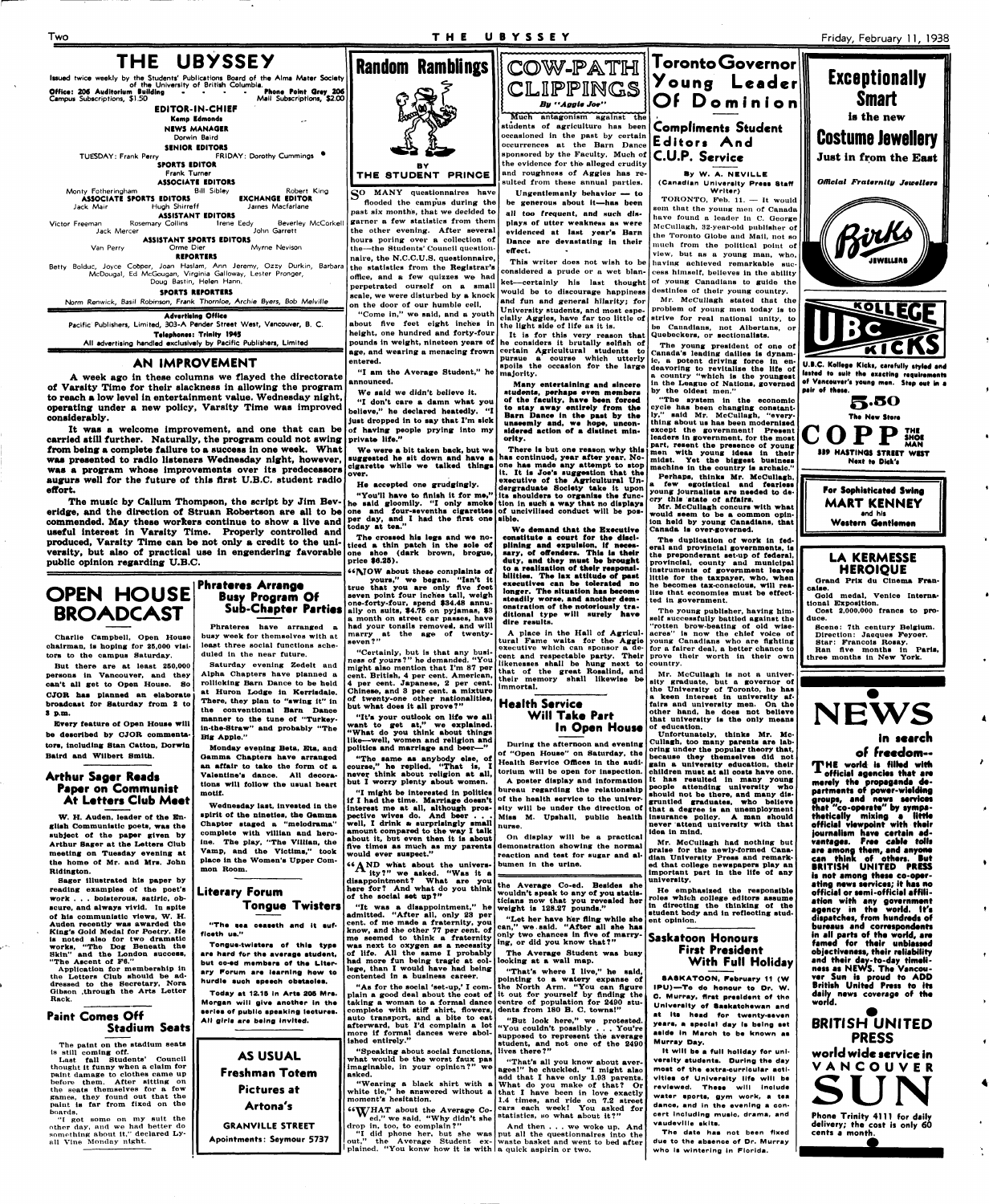

**All advertising handled exclusively by Pacific Publishers, Limited** 

#### **AN IMPROVEMENT**

A week ago in these columns we flayed the directorate of Varsity Time for their slackness in allowing the program to reach **a** low level in entertainment value. Wednesday night, operating under a new policy, Varsity Time was improved considerably.

It was a welcome improvement, and one that can be carried still further. Naturally, the program could not swing from being a complete failure to a success in one week. What **was** presented to radio listeners Wednesday night, however, **was** a program whose improvements over its predecessors augurs well for the future of this first U.B.C. student radio effort.

The music by Callum Thompson, the script by Jim Beveridge, and the direction of Struan Robertson are all to be one and four-sevenths cigarettes of uncivilised conduct will be poscommended. May these workers continue to show a live and **per day, and I had the first one** sible. useful interest in Varsity Time. Properly controlled and produced, Varsity Time can be not only a credit to the uniproduced, Varsity Time can be not only **a** credit to the uniproduced, varsity lime can be not only a credit to the uni- ticed a thin patch in the sole of<br>versity, but also of practical use in engendering favorable one shoe (dark brown, brogue, public opinion regarding U.B.C.

## **OPEN HOUSE BROADCAST**

**Charlie Campbell, Open Houae chairman, la hoping for 25,000 visitors to the campus Saturday.** 

**But there are at least 260,000 persons in Vancouver, and they can't all get to Open House. So CJOR haa planned an elaborate broadcast tor Saturday from 2 to 8 P.m.** 

**Every feature of Open Houae will be described by CJOR commentators, including Stan Catton, Dorwin Baird and Wllbert Smith.** 

#### **Arthur Sager Reads Paper on Communist At Letters Club Meet**

**W. H. Auden, leader of the En-**

**MANY** questionnaires have **flooded the campus during the past six months, that we decided to garner a few statistics from them the other evening. After several hours poring over a collection of the—the Students' Council questionnaire, the N.C.C.U.S. questionnaire, the statistics from the Registrar's office, and a fow quizzes we had perpetrated ourself on a small scale, we were disturbed by a knock on the door of our humble cell. "Come in," we said, and a youth about five feet eight inches in** 

The crossed his legs and we no**one ahoe (dark brown, brogue, price \$6.25).** 

**Phrateres Arrange** 

**Busy Program Of** 

**Sub-Chapter Parties Phrateres have arranged a busy week for themselves with at least three social functions scheduled in the near future.** 

**Saturday evening Zedelt and Alpha Chapters have planned a rollicking Barn Dance to be held at Huron Lodge ln Kerrisdale. Tbere, they plan to "awing lt" in the conventional Barn Dance manner to the tune of "Turkeyin-the-Straw" and probably "The Big Apple."** 

**Monday evening Beta, Eta, and Gamma Chaptera have arranged an affair to take the form ot a Valentine's danoe. All decorations will follow the usual heart motif.** 

COW-PATH CLIPPINGS *By "Aggie Joe" Much* antagonism against the students of agriculture has been **scassioned** in the past by certain **occurrences** at the Barn Dance sponsored by the Faculty. Much of the evidence for the alleged crudity and roughness of Aggies has reaulted from these annual parties.

**Wedneaday laat, lnveated ln the spirit ot the ninetlea, tbe Gamma** 

**Ungentlemanly behavior — to Ungentlemanly behavior — to be generous about it—has been all** *too* **frequent, and such displays of utter weakness as were evidenced at last year's Barn Dance are devastating in their effect. This writer does not wish to be** 

**Random Ramblings BY T H E 8TUDEN T PRINCE** 

**height, one hundred and forty-four pounds in weight, nineteen years of he considers it brutally selfish of age, and wearing a menacing frown entered.** 

**"I am the Average Student," he announced.** 

**We said we didn't believe it.** 

**"I don't care a damn what you believe," he declared heatedly. "I juat dropped in to aay that I'm aick of having people prying into my private life."** 

**We were a bit taken back, but we auggeated he alt down and have a cigarette while we talked thlnga over.** 

**He accepted one grudgingly.** 

**"You'll have to flntah it for me," he said gloomily. "I only smoke today at tea."** 

**"MO W about theae complaints of yours," we began. "Isn't it true that you are only Ave feet seven point four inches tall, weigh one-forty-four, spend \$34.48 annually on suits, \$4.76 on pyjamas, \$3** 

**a month on street car passes, have had your tonsils removed, and will marry at the age of twentyseven ? "** 

**"Certainly, but is that any business of yours?" he demanded. "You might also mention that I'm 87 per cent. British, 4 per cent. American,**  per cent. Japanese, 2 per cent. **Chinese, and 3 per cent, a mixture of twenty-one other nationalitiea, but what doea it all prove?"** 

**"It'a your outlook on life we all want to get at," we explained. "What do you think about things like—well, women and religion and politics and marriage and beer—"** 

**"The aame aa anybody elae, of eourae," he replied. "That ia, I never think about religion at all, but I worry plenty about women.** 

**"I might be interested in politica pective wives do. And beer . . .**  **U.B.C. Kollege Kicks, carefully styled and** lasted to suit the exacting requirements **ef Vincouver't young men. Step out In a pair ef theta.** 

**5-SO The New Stare COPP SHOI MAN 139 HASTINGS STRUT WIST**  Next to Dick's

> **For Sophisticated Swine MART KENNEY and hla**  Western Gentlemen

**considered a prude or a wet blanket—certainly his last thought would be to discourage happiness and fun and general hilarity; for University students, and most especially Aggies, have far too little of the light side of life as it is.** 

**It is for this very reason that certain Agricultural students to**  pursue a course which utterly **spoils the occasion for the large majority.** 

**Many entertaining and aincere atudenta, perhaps even membera of the faculty, have been forced to stay away entirely from the Barn Dance in the past by the unaeemly and, we hope, unconsidered action of a distinct minority.** 

**There is but one reaaon why thla haa continued, year after year. Noone has made any attempt to atop it. It ia Joe'a auggeation that the executive of the Agricultural Undergraduate Society take it upon ita ahouldera to organise the function in auch' a way that no diaplaya** 

| W. H. Auden, leader of the En-<br>glish Communistic poets, was the<br>subject of the paper given by<br>Arthur Sager at the Letters Club<br>meeting on Tuesday evening at<br>the home of Mr. and Mrs. John<br>Ridington.<br>Sager illustrated his paper by<br>reading examples of the poet's<br>work bolsterous, satiric, ob-<br>scure, and always vivid. In spite<br>of his communistic views. W. H.<br>Auden recently was awarded the<br>King's Gold Medal for Poetry. He<br>is noted also for two dramatic<br>works, "The Dog Beneath the<br>Skin" and the London success,<br>"The Ascent of F6."<br>Application for membership in<br>the Letters Club should be ad-<br>dressed to the Secretary, Nora<br>Gibson ,through the Arts Letter<br>Rack.<br><b>Paint Comes Off</b><br><b>Stadium Seats</b><br>The paint on the stadium seats<br>is still coming off.<br>Last fall Students' Council<br>thought it funny when a claim for<br>paint damage to clothes came up<br>before them. After sitting on<br>the seats themselves for a few<br>games, they found out that the<br>paint is far from fixed on the<br>boards.<br>"I got some on my suit the<br>other day, and we had better do<br>something about it," declared Ly- | spirit of the nineties, the Gamma<br>Chapter staged a "melodrama"<br>complete with villian and hero-<br>ine. The play, "The Villian, the<br>Vamp, and the Victims," took<br>place in the Women's Upper Com-<br>mon Room.<br>Literary Forum<br><b>Tongue Twisters</b><br>"The sea ceaseth and it suf-<br>ficeth us."<br>Tongue-twisters of this type<br>are hard for the average student,<br>but co-ed members of the Liter-<br>ary Forum are learning how to<br>hurdle such speech obstacles.<br>Today at 12.15 in Arts 205 Mrs.<br>Morgan will give another in the<br>series of public speaking lectures.<br>All girls are being invited.<br><b>AS USUAL</b><br><b>Freshman Totem</b><br><b>Pictures at</b><br>Artona's<br><b>GRANVILLE STREET</b><br>Apointments: Seymour 5737 | well, I drink a surprisingly small   nurse.<br>amount compared to the way I talk<br>about it, but even then it is about<br>would ever suspect."<br>$66 \triangle N$ D what about the univers- bumen in the urine.<br>The ity?" we asked. "Was it a<br>disappointment? What are you<br>here for? And what do you think<br>of the social set up?"<br>"It was a disappointment," he weight is 128.27 pounds."<br>admitted. "After all, only 23 per<br>cent. of me made a fraternity, you<br>know, and the other 77 per cent, of<br>me seemed to think a fraternity<br>was next to oxygen as a necessity ing, or did you know that?"<br>of life. All the same I probably<br>had more fun being tragic at col-llooking at a wall map.<br>lege, than I would have had being<br>contented in a business career.<br>complete with stiff shirt, flowers, dents from 180 B. C. towns!"<br>auto transport, and a bite to eat<br>more if formal dances were abol-<br>ished entirely."<br>"Speaking about social functions, lives there?"<br>what would be the worst faux pas<br>imaginable, in your opinion?" we ages!" he chuckled. "I might also<br>asked.<br>moment's hesitation.<br>66Y/HAT about the Average Co-<br>drop in, too, to complain?" | pective wives do. And beer Miss M. Upshall, public health insurance policy. A man should<br>On display will be a practical<br>five times as much as my parents demonstration showing the normal<br>reaction and test for sugar and al-<br>the Average Co-ed. Besides she<br>wouldn't speak to any of you statis-<br>ticians now that you revealed her<br>"Let her have her fling while she<br>can." we said. "After all she has<br>only two chances in five of marry-<br>The Average Student was busy<br>"That's where I live." he said.<br>pointing to a watery expanse of<br>"As for the social 'set-up,' I com- the North Arm. "You can figure<br>plain a good deal about the cost of it out for yourself by finding the<br>taking a woman to a formal dance centre of population for 2490 stu-<br>"But look here," we protested.<br>afterward, but I'd complain a lot "You couldn't possibly  You're<br>supposed to represent the average<br>student, and not one of the 2490<br>"That's all you know about aver-<br>add that I have only 1.93 parents.<br>"Wearing a black shirt with a What do you make of that? Or<br>white tie," he answered without a that I have been in love exactly<br>1.4 times, and ride on 7.2 street<br>cars each week! You asked for<br>ed," we said. "Why didn't she statistics, so what about it?"<br>And then we woke up. And<br>"I did phone her, but she was put all the questionnaires into the | never attend university with that<br>idea in mind.<br>Mr. McCullagh had nothing but<br>praise for the newly-formed Cana-<br>dian University Press and remark-<br>ed that college newspapers play an<br>important part in the life of any<br>university.<br>He emphasized the responsible<br>roles which college editors assume<br>in directing the thinking of the<br>student body and in reflecting stud-<br>ent opinion.<br>Saskatoon Honours<br><b>First President</b><br>With Full Holiday<br><b>SASKATOON, February 11 (W)</b><br>IPU)-To do honour to Dr. W.<br>C. Murray, first president of the<br>University of Saskatchewan and<br>at its head for twenty-seven<br>years, a special day is being set<br>aside in March to be known as<br>Murray Day,<br>It will be a full holiday for uni-<br>versity students. During the day<br>most of the extra-curricular acti-<br>vities of University life will be<br>reviewed. These will include<br>water aports, gym work, a tea<br>dance, and in the evening a con-<br>cert including music, drama, and<br>vaudeville skits.<br>The date has not been fixed | thetically mixing a little<br>official viewpoint with their<br>journalism have certain ad-<br>vantages. Free cable tolls<br>are among them, and anyone<br>can think of others. But<br><b>BRITISH UNITED PRESS</b><br>is not among these co-oper-<br>ating news services; it has no<br>official or semi-official affili-<br>ation with any government<br>agency in the world. It's<br>dispatches, from hundreds of<br>bureaus and correspondents<br>in all parts of the world, are<br>famed for their unbiassed<br>objectiveness, their reliability<br>and their day-to-day timeli-<br>ness as NEWS. The Vancou-<br>ver Sun is proud to ADD<br>British United Press to its<br>daily news coverage of the<br>world.<br><b>BRITISH UNITED</b><br><b>PRESS</b><br>world wide service in<br>VANCOUVER<br>Phone Trinity 4111 for daily<br>delivery; the cost is only 60<br>cents a month. |
|---------------------------------------------------------------------------------------------------------------------------------------------------------------------------------------------------------------------------------------------------------------------------------------------------------------------------------------------------------------------------------------------------------------------------------------------------------------------------------------------------------------------------------------------------------------------------------------------------------------------------------------------------------------------------------------------------------------------------------------------------------------------------------------------------------------------------------------------------------------------------------------------------------------------------------------------------------------------------------------------------------------------------------------------------------------------------------------------------------------------------------------------------------------------------------------------------------------------------------|----------------------------------------------------------------------------------------------------------------------------------------------------------------------------------------------------------------------------------------------------------------------------------------------------------------------------------------------------------------------------------------------------------------------------------------------------------------------------------------------------------------------------------------------------------------------------------------------------------------------------------------------------------------------------------------------------------------------------------------------------------------------------------|------------------------------------------------------------------------------------------------------------------------------------------------------------------------------------------------------------------------------------------------------------------------------------------------------------------------------------------------------------------------------------------------------------------------------------------------------------------------------------------------------------------------------------------------------------------------------------------------------------------------------------------------------------------------------------------------------------------------------------------------------------------------------------------------------------------------------------------------------------------------------------------------------------------------------------------------------------------------------------------------------------------------------------------------------------------------------------------------------------------------------------------------------------------------------------------------------------------------------------------|----------------------------------------------------------------------------------------------------------------------------------------------------------------------------------------------------------------------------------------------------------------------------------------------------------------------------------------------------------------------------------------------------------------------------------------------------------------------------------------------------------------------------------------------------------------------------------------------------------------------------------------------------------------------------------------------------------------------------------------------------------------------------------------------------------------------------------------------------------------------------------------------------------------------------------------------------------------------------------------------------------------------------------------------------------------------------------------------------------------------------------------------------------------------------------------------------------------------------------------------------------------------------------------------------------------------------------------------------------------------------------------------------------------------------------------|------------------------------------------------------------------------------------------------------------------------------------------------------------------------------------------------------------------------------------------------------------------------------------------------------------------------------------------------------------------------------------------------------------------------------------------------------------------------------------------------------------------------------------------------------------------------------------------------------------------------------------------------------------------------------------------------------------------------------------------------------------------------------------------------------------------------------------------------------------------------------------------------------------------------------------------------------------------------------------------------------------------------------------------------------------------------------------------------------------------|-------------------------------------------------------------------------------------------------------------------------------------------------------------------------------------------------------------------------------------------------------------------------------------------------------------------------------------------------------------------------------------------------------------------------------------------------------------------------------------------------------------------------------------------------------------------------------------------------------------------------------------------------------------------------------------------------------------------------------------------------------------------------------------------------------------------------------------------------------------------------------------|
| all Vine Monday night.                                                                                                                                                                                                                                                                                                                                                                                                                                                                                                                                                                                                                                                                                                                                                                                                                                                                                                                                                                                                                                                                                                                                                                                                          |                                                                                                                                                                                                                                                                                                                                                                                                                                                                                                                                                                                                                                                                                                                                                                                  | plained. "You konw how it is with a quick aspirin or two.                                                                                                                                                                                                                                                                                                                                                                                                                                                                                                                                                                                                                                                                                                                                                                                                                                                                                                                                                                                                                                                                                                                                                                                | out," the Average Student ex- waste basket and went to bed after                                                                                                                                                                                                                                                                                                                                                                                                                                                                                                                                                                                                                                                                                                                                                                                                                                                                                                                                                                                                                                                                                                                                                                                                                                                                                                                                                                       | due to the absence of Dr. Murray<br>who is wintering in Florida.                                                                                                                                                                                                                                                                                                                                                                                                                                                                                                                                                                                                                                                                                                                                                                                                                                                                                                                                                                                                                                                 |                                                                                                                                                                                                                                                                                                                                                                                                                                                                                                                                                                                                                                                                                                                                                                                                                                                                                     |

**We demand that the Executive conatltute a court for the disciplining and expulalon, if necessary, of offenders. Thla ia their duty, and they muat be brought to a realisation of their reaponalbllltiea. The lax attitude of paat executives can be tolerated no longer. The situation haa become steadily worae, and another demonstration of the notoriously traditional type will surely have dire results.** 

**A place in the Hall of Agricultural Fame waits for the Aggie executive which can sponsor a de**likenesses shall be hung next to country. **that of the great Rosalind, and their memory shall likewise be immortal.** 

**Toronto Governor** 



**By W. A. NEVILLE (Canadian Unlveralty Preaa Staff Writer)** 

**cent and respectable party. Their prove their worth in their own The young publisher, having himself successfully battled against the "rotten brow-beating ot old wiseacres" is now tbe chief voice of young Canadians who are fighting for a fairer deal, a better chance to** 

**TORONTO, Feb. 11. — It would sem that the young men of Canada have found a leader ln C. Oeorge McCttllagh, 32-year-old publisher of the Toronto Olobe and Mail, not so much from the political point of view, but as a young man, who,** 



If I might be interested in politics | outcaur regarding the relationship should not be there, and many dis-<br>If I had the time. Marriage doesn't of the health service to the univer-<br>gruntled graduates, who believe interest me at all, although pros- sity will be under the direction of that a degree is an unemployment

**having achieved remarkable success himself, believes in the ability of young Canadians to guide the destinies of their young country. Mr. McCullagh stated that the problem of young men today is to strive for real national unity, to** 

**During the afternoon and evening Cullagh, too many parenta are labof "Open Houae" on Saturday, the oring under the popular theory that, Health Service Offices in the audi-gain a unlveralty education, tbelr**  torium will be open for inspection. children must at all costs have one. **A poster display and Information It haa reaulted in many young bureau regarding tbe relationship people attending unlveralty who**  Unfortunately, thinks Mr. Mo**becauae they themaelvea did not gruntled graduatea, who believe** 

**be Canadians, not Albertans, or Quebeckers, or sectionallsts. The young president ot one ot** 

**Canada's leading dailies is dynamic, a potent driving force in endeavoring to revitalize the life of a country "which is the youngeat** 

**in the League of Natlona, governed by the oldest men."** 

**"The system in the economic cycle haa been changing constantly," aald Mr. McCullagh, "everything about ua has been modernized except the government! Present leaders In government, for the moat**  part, resent the presence of young **men with young Ideaa in their mldat. Yet tbe biggeat business machine in the country Is archaic."** 

**Perhapa, thlnka Mr. McCullagh, a few egotistical and fearleaa young Journaltata are needed to decry thla state of affairs.** 

**Mr. McCullagh concura with what would aeem to be a common opinion held by young Canadlana, tbat Canada la over-governed.** 

**The duplication ot work In federal and provincial governments, la the preponderant set-up of federal, provincial, county and municipal Instrumenta of government leavea little for the taxpayer, who, when he becomes tax-conscious, will realize that economies must be effectted ln government.** 

**Mr. McCullagh ls not a university graduate, but a governor of the Unlveralty ot Toronto, he haa a keen Intereat in unlveralty affaire and unlveralty men. On the other hand, he doea not believe that unlveralty la the only meana** 

**Exceptionally** 

**Smart** 





### **LA KERMESSE HEROIQUE**

**Grand Prix du Cinema Francalae. Gold medal, Venice Interna-**

**tional Exposition. Cost 2,000,000 franca to produce.** 

**Scene: 7th century Belgium. Direction: Jacques Feyoer. Star: Francois Roaay.** 

**Ran Ave months ln Parla, three months in New York.** 



## **In search**

**of freedom— 'TH E worltl it fillsd with x effieisl sgsneiss thst ars merely ths propaganda de**partments of power-wielding groups, and news services **that "co-oparats" by sympathetically mixing a little**